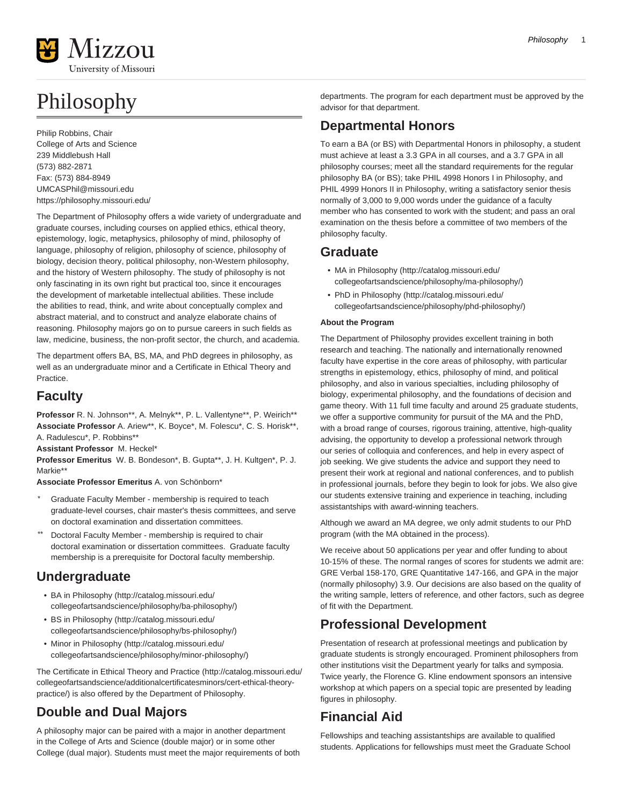

# Philosophy

Philip Robbins, Chair College of Arts and Science 239 Middlebush Hall (573) 882-2871 Fax: (573) 884-8949 [UMCASPhil@missouri.edu](mailto:UMCASPhil@missouri.edu) <https://philosophy.missouri.edu/>

The Department of Philosophy offers a wide variety of undergraduate and graduate courses, including courses on applied ethics, ethical theory, epistemology, logic, metaphysics, philosophy of mind, philosophy of language, philosophy of religion, philosophy of science, philosophy of biology, decision theory, political philosophy, non-Western philosophy, and the history of Western philosophy. The study of philosophy is not only fascinating in its own right but practical too, since it encourages the development of marketable intellectual abilities. These include the abilities to read, think, and write about conceptually complex and abstract material, and to construct and analyze elaborate chains of reasoning. Philosophy majors go on to pursue careers in such fields as law, medicine, business, the non-profit sector, the church, and academia.

The department offers BA, BS, MA, and PhD degrees in philosophy, as well as an undergraduate minor and a Certificate in Ethical Theory and **Practice** 

## **Faculty**

Professor R. N. Johnson\*\*, A. Melnyk\*\*, P. L. Vallentyne\*\*, P. Weirich\*\* **Associate Professor** A. Ariew\*\*, K. Boyce\*, M. Folescu\*, C. S. Horisk\*\*, A. Radulescu\*, P. Robbins\*\*

**Assistant Professor** M. Heckel\*

**Professor Emeritus** W. B. Bondeson\*, B. Gupta\*\*, J. H. Kultgen\*, P. J. Markie\*\*

**Associate Professor Emeritus** A. von Schönborn\*

- Graduate Faculty Member membership is required to teach graduate-level courses, chair master's thesis committees, and serve on doctoral examination and dissertation committees.
- Doctoral Faculty Member membership is required to chair doctoral examination or dissertation committees. Graduate faculty membership is a prerequisite for Doctoral faculty membership.

## **Undergraduate**

- [BA in Philosophy](http://catalog.missouri.edu/collegeofartsandscience/philosophy/ba-philosophy/) [\(http://catalog.missouri.edu/](http://catalog.missouri.edu/collegeofartsandscience/philosophy/ba-philosophy/) [collegeofartsandscience/philosophy/ba-philosophy/\)](http://catalog.missouri.edu/collegeofartsandscience/philosophy/ba-philosophy/)
- [BS in Philosophy](http://catalog.missouri.edu/collegeofartsandscience/philosophy/bs-philosophy/) [\(http://catalog.missouri.edu/](http://catalog.missouri.edu/collegeofartsandscience/philosophy/bs-philosophy/) [collegeofartsandscience/philosophy/bs-philosophy/](http://catalog.missouri.edu/collegeofartsandscience/philosophy/bs-philosophy/))
- [Minor in Philosophy](http://catalog.missouri.edu/collegeofartsandscience/philosophy/minor-philosophy/) ([http://catalog.missouri.edu/](http://catalog.missouri.edu/collegeofartsandscience/philosophy/minor-philosophy/) [collegeofartsandscience/philosophy/minor-philosophy/\)](http://catalog.missouri.edu/collegeofartsandscience/philosophy/minor-philosophy/)

The [Certificate in Ethical Theory and Practice \(http://catalog.missouri.edu/](http://catalog.missouri.edu/collegeofartsandscience/additionalcertificatesminors/cert-ethical-theory-practice/) [collegeofartsandscience/additionalcertificatesminors/cert-ethical-theory](http://catalog.missouri.edu/collegeofartsandscience/additionalcertificatesminors/cert-ethical-theory-practice/)[practice/](http://catalog.missouri.edu/collegeofartsandscience/additionalcertificatesminors/cert-ethical-theory-practice/)) is also offered by the Department of Philosophy.

## **Double and Dual Majors**

A philosophy major can be paired with a major in another department in the College of Arts and Science (double major) or in some other College (dual major). Students must meet the major requirements of both departments. The program for each department must be approved by the advisor for that department.

## **Departmental Honors**

To earn a BA (or BS) with Departmental Honors in philosophy, a student must achieve at least a 3.3 GPA in all courses, and a 3.7 GPA in all philosophy courses; meet all the standard requirements for the regular philosophy BA (or BS); take PHIL 4998 Honors I in Philosophy, and PHIL 4999 Honors II in Philosophy, writing a satisfactory senior thesis normally of 3,000 to 9,000 words under the guidance of a faculty member who has consented to work with the student; and pass an oral examination on the thesis before a committee of two members of the philosophy faculty.

## **Graduate**

- [MA in Philosophy](http://catalog.missouri.edu/collegeofartsandscience/philosophy/ma-philosophy/) ([http://catalog.missouri.edu/](http://catalog.missouri.edu/collegeofartsandscience/philosophy/ma-philosophy/) [collegeofartsandscience/philosophy/ma-philosophy/\)](http://catalog.missouri.edu/collegeofartsandscience/philosophy/ma-philosophy/)
- [PhD in Philosophy](http://catalog.missouri.edu/collegeofartsandscience/philosophy/phd-philosophy/) [\(http://catalog.missouri.edu/](http://catalog.missouri.edu/collegeofartsandscience/philosophy/phd-philosophy/) [collegeofartsandscience/philosophy/phd-philosophy/\)](http://catalog.missouri.edu/collegeofartsandscience/philosophy/phd-philosophy/)

## **About the Program**

The Department of Philosophy provides excellent training in both research and teaching. The nationally and internationally renowned faculty have expertise in the core areas of philosophy, with particular strengths in epistemology, ethics, philosophy of mind, and political philosophy, and also in various specialties, including philosophy of biology, experimental philosophy, and the foundations of decision and game theory. With 11 full time faculty and around 25 graduate students, we offer a supportive community for pursuit of the MA and the PhD, with a broad range of courses, rigorous training, attentive, high-quality advising, the opportunity to develop a professional network through our series of colloquia and conferences, and help in every aspect of job seeking. We give students the advice and support they need to present their work at regional and national conferences, and to publish in professional journals, before they begin to look for jobs. We also give our students extensive training and experience in teaching, including assistantships with award-winning teachers.

Although we award an MA degree, we only admit students to our PhD program (with the MA obtained in the process).

We receive about 50 applications per year and offer funding to about 10-15% of these. The normal ranges of scores for students we admit are: GRE Verbal 158-170, GRE Quantitative 147-166, and GPA in the major (normally philosophy) 3.9. Our decisions are also based on the quality of the writing sample, letters of reference, and other factors, such as degree of fit with the Department.

## **Professional Development**

Presentation of research at professional meetings and publication by graduate students is strongly encouraged. Prominent philosophers from other institutions visit the Department yearly for talks and symposia. Twice yearly, the Florence G. Kline endowment sponsors an intensive workshop at which papers on a special topic are presented by leading figures in philosophy.

## **Financial Aid**

Fellowships and teaching assistantships are available to qualified students. Applications for fellowships must meet the Graduate School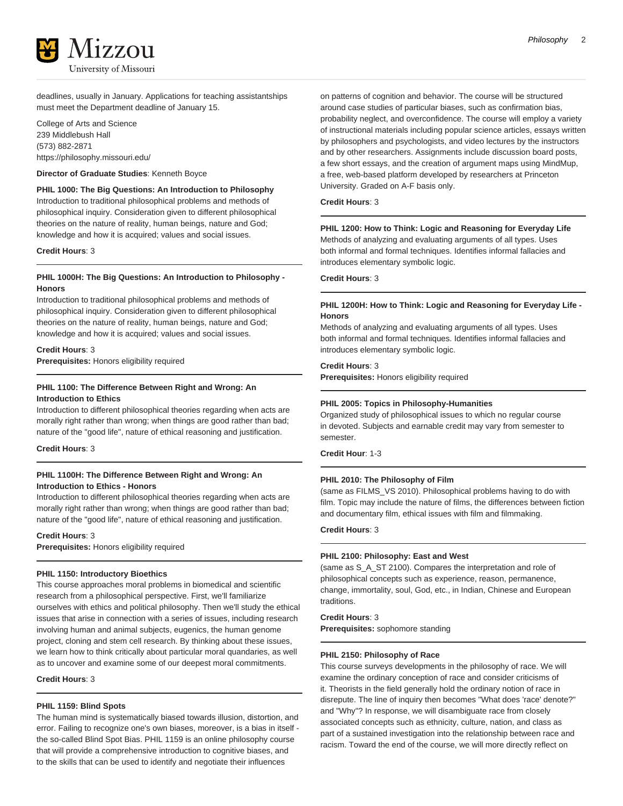deadlines, usually in January. Applications for teaching assistantships must meet the Department deadline of January 15.

College of Arts and Science 239 Middlebush Hall (573) 882-2871 <https://philosophy.missouri.edu/>

#### **Director of Graduate Studies**: Kenneth Boyce

**PHIL 1000: The Big Questions: An Introduction to Philosophy** Introduction to traditional philosophical problems and methods of philosophical inquiry. Consideration given to different philosophical theories on the nature of reality, human beings, nature and God; knowledge and how it is acquired; values and social issues.

#### **Credit Hours**: 3

#### **PHIL 1000H: The Big Questions: An Introduction to Philosophy - Honors**

Introduction to traditional philosophical problems and methods of philosophical inquiry. Consideration given to different philosophical theories on the nature of reality, human beings, nature and God; knowledge and how it is acquired; values and social issues.

#### **Credit Hours**: 3

**Prerequisites:** Honors eligibility required

## **PHIL 1100: The Difference Between Right and Wrong: An Introduction to Ethics**

Introduction to different philosophical theories regarding when acts are morally right rather than wrong; when things are good rather than bad; nature of the "good life", nature of ethical reasoning and justification.

**Credit Hours**: 3

## **PHIL 1100H: The Difference Between Right and Wrong: An Introduction to Ethics - Honors**

Introduction to different philosophical theories regarding when acts are morally right rather than wrong; when things are good rather than bad; nature of the "good life", nature of ethical reasoning and justification.

#### **Credit Hours**: 3

**Prerequisites:** Honors eligibility required

#### **PHIL 1150: Introductory Bioethics**

This course approaches moral problems in biomedical and scientific research from a philosophical perspective. First, we'll familiarize ourselves with ethics and political philosophy. Then we'll study the ethical issues that arise in connection with a series of issues, including research involving human and animal subjects, eugenics, the human genome project, cloning and stem cell research. By thinking about these issues, we learn how to think critically about particular moral quandaries, as well as to uncover and examine some of our deepest moral commitments.

**Credit Hours**: 3

#### **PHIL 1159: Blind Spots**

The human mind is systematically biased towards illusion, distortion, and error. Failing to recognize one's own biases, moreover, is a bias in itself the so-called Blind Spot Bias. PHIL 1159 is an online philosophy course that will provide a comprehensive introduction to cognitive biases, and to the skills that can be used to identify and negotiate their influences

on patterns of cognition and behavior. The course will be structured around case studies of particular biases, such as confirmation bias, probability neglect, and overconfidence. The course will employ a variety of instructional materials including popular science articles, essays written by philosophers and psychologists, and video lectures by the instructors and by other researchers. Assignments include discussion board posts, a few short essays, and the creation of argument maps using MindMup, a free, web-based platform developed by researchers at Princeton University. Graded on A-F basis only.

## **Credit Hours**: 3

#### **PHIL 1200: How to Think: Logic and Reasoning for Everyday Life**

Methods of analyzing and evaluating arguments of all types. Uses both informal and formal techniques. Identifies informal fallacies and introduces elementary symbolic logic.

**Credit Hours**: 3

#### **PHIL 1200H: How to Think: Logic and Reasoning for Everyday Life - Honors**

Methods of analyzing and evaluating arguments of all types. Uses both informal and formal techniques. Identifies informal fallacies and introduces elementary symbolic logic.

**Credit Hours**: 3

**Prerequisites:** Honors eligibility required

#### **PHIL 2005: Topics in Philosophy-Humanities**

Organized study of philosophical issues to which no regular course in devoted. Subjects and earnable credit may vary from semester to semester.

**Credit Hour**: 1-3

#### **PHIL 2010: The Philosophy of Film**

(same as FILMS\_VS 2010). Philosophical problems having to do with film. Topic may include the nature of films, the differences between fiction and documentary film, ethical issues with film and filmmaking.

#### **Credit Hours**: 3

#### **PHIL 2100: Philosophy: East and West**

(same as S\_A\_ST 2100). Compares the interpretation and role of philosophical concepts such as experience, reason, permanence, change, immortality, soul, God, etc., in Indian, Chinese and European traditions.

#### **Credit Hours**: 3

**Prerequisites:** sophomore standing

#### **PHIL 2150: Philosophy of Race**

This course surveys developments in the philosophy of race. We will examine the ordinary conception of race and consider criticisms of it. Theorists in the field generally hold the ordinary notion of race in disrepute. The line of inquiry then becomes "What does 'race' denote?" and "Why"? In response, we will disambiguate race from closely associated concepts such as ethnicity, culture, nation, and class as part of a sustained investigation into the relationship between race and racism. Toward the end of the course, we will more directly reflect on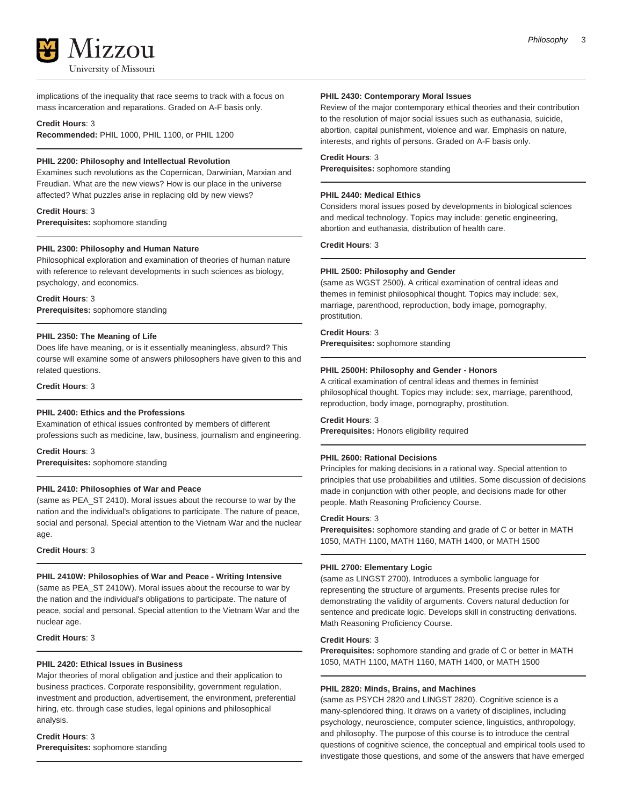

implications of the inequality that race seems to track with a focus on mass incarceration and reparations. Graded on A-F basis only.

#### **Credit Hours**: 3

**Recommended:** PHIL 1000, PHIL 1100, or PHIL 1200

#### **PHIL 2200: Philosophy and Intellectual Revolution**

Examines such revolutions as the Copernican, Darwinian, Marxian and Freudian. What are the new views? How is our place in the universe affected? What puzzles arise in replacing old by new views?

## **Credit Hours**: 3

**Prerequisites:** sophomore standing

#### **PHIL 2300: Philosophy and Human Nature**

Philosophical exploration and examination of theories of human nature with reference to relevant developments in such sciences as biology, psychology, and economics.

**Credit Hours**: 3

**Prerequisites:** sophomore standing

#### **PHIL 2350: The Meaning of Life**

Does life have meaning, or is it essentially meaningless, absurd? This course will examine some of answers philosophers have given to this and related questions.

#### **Credit Hours**: 3

### **PHIL 2400: Ethics and the Professions**

Examination of ethical issues confronted by members of different professions such as medicine, law, business, journalism and engineering.

#### **Credit Hours**: 3

**Prerequisites:** sophomore standing

#### **PHIL 2410: Philosophies of War and Peace**

(same as PEA\_ST 2410). Moral issues about the recourse to war by the nation and the individual's obligations to participate. The nature of peace, social and personal. Special attention to the Vietnam War and the nuclear age.

**Credit Hours**: 3

## **PHIL 2410W: Philosophies of War and Peace - Writing Intensive**

(same as PEA\_ST 2410W). Moral issues about the recourse to war by the nation and the individual's obligations to participate. The nature of peace, social and personal. Special attention to the Vietnam War and the nuclear age.

**Credit Hours**: 3

### **PHIL 2420: Ethical Issues in Business**

Major theories of moral obligation and justice and their application to business practices. Corporate responsibility, government regulation, investment and production, advertisement, the environment, preferential hiring, etc. through case studies, legal opinions and philosophical analysis.

**Credit Hours**: 3 **Prerequisites:** sophomore standing

#### **PHIL 2430: Contemporary Moral Issues**

Review of the major contemporary ethical theories and their contribution to the resolution of major social issues such as euthanasia, suicide, abortion, capital punishment, violence and war. Emphasis on nature, interests, and rights of persons. Graded on A-F basis only.

#### **Credit Hours**: 3

**Prerequisites:** sophomore standing

### **PHIL 2440: Medical Ethics**

Considers moral issues posed by developments in biological sciences and medical technology. Topics may include: genetic engineering, abortion and euthanasia, distribution of health care.

**Credit Hours**: 3

#### **PHIL 2500: Philosophy and Gender**

(same as WGST 2500). A critical examination of central ideas and themes in feminist philosophical thought. Topics may include: sex, marriage, parenthood, reproduction, body image, pornography, prostitution.

#### **Credit Hours**: 3

**Prerequisites:** sophomore standing

#### **PHIL 2500H: Philosophy and Gender - Honors**

A critical examination of central ideas and themes in feminist philosophical thought. Topics may include: sex, marriage, parenthood, reproduction, body image, pornography, prostitution.

#### **Credit Hours**: 3

**Prerequisites:** Honors eligibility required

#### **PHIL 2600: Rational Decisions**

Principles for making decisions in a rational way. Special attention to principles that use probabilities and utilities. Some discussion of decisions made in conjunction with other people, and decisions made for other people. Math Reasoning Proficiency Course.

#### **Credit Hours**: 3

**Prerequisites:** sophomore standing and grade of C or better in MATH 1050, MATH 1100, MATH 1160, MATH 1400, or MATH 1500

#### **PHIL 2700: Elementary Logic**

(same as LINGST 2700). Introduces a symbolic language for representing the structure of arguments. Presents precise rules for demonstrating the validity of arguments. Covers natural deduction for sentence and predicate logic. Develops skill in constructing derivations. Math Reasoning Proficiency Course.

#### **Credit Hours**: 3

**Prerequisites:** sophomore standing and grade of C or better in MATH 1050, MATH 1100, MATH 1160, MATH 1400, or MATH 1500

## **PHIL 2820: Minds, Brains, and Machines**

(same as PSYCH 2820 and LINGST 2820). Cognitive science is a many-splendored thing. It draws on a variety of disciplines, including psychology, neuroscience, computer science, linguistics, anthropology, and philosophy. The purpose of this course is to introduce the central questions of cognitive science, the conceptual and empirical tools used to investigate those questions, and some of the answers that have emerged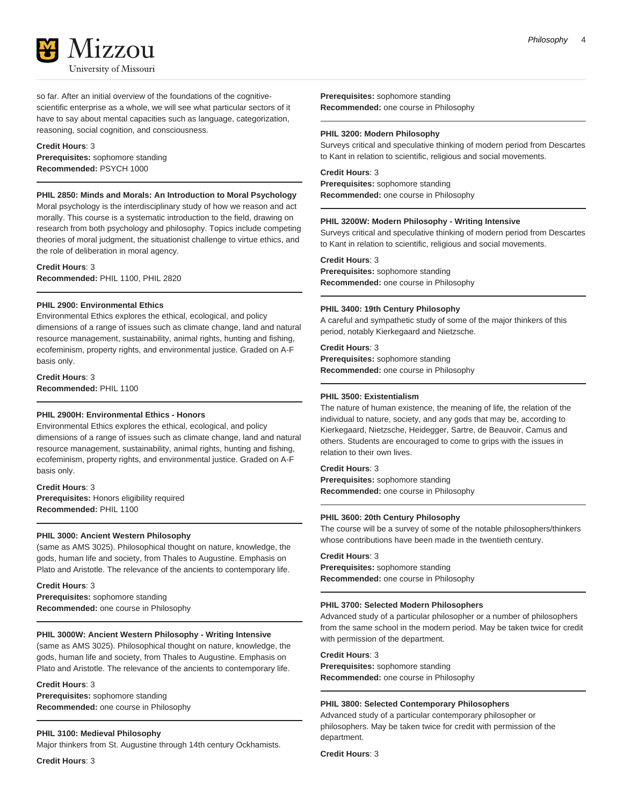

so far. After an initial overview of the foundations of the cognitivescientific enterprise as a whole, we will see what particular sectors of it have to say about mental capacities such as language, categorization, reasoning, social cognition, and consciousness.

#### **Credit Hours**: 3

**Prerequisites:** sophomore standing **Recommended:** PSYCH 1000

## **PHIL 2850: Minds and Morals: An Introduction to Moral Psychology**

Moral psychology is the interdisciplinary study of how we reason and act morally. This course is a systematic introduction to the field, drawing on research from both psychology and philosophy. Topics include competing theories of moral judgment, the situationist challenge to virtue ethics, and the role of deliberation in moral agency.

**Credit Hours**: 3 **Recommended:** PHIL 1100, PHIL 2820

#### **PHIL 2900: Environmental Ethics**

Environmental Ethics explores the ethical, ecological, and policy dimensions of a range of issues such as climate change, land and natural resource management, sustainability, animal rights, hunting and fishing, ecofeminism, property rights, and environmental justice. Graded on A-F basis only.

**Credit Hours**: 3 **Recommended:** PHIL 1100

#### **PHIL 2900H: Environmental Ethics - Honors**

Environmental Ethics explores the ethical, ecological, and policy dimensions of a range of issues such as climate change, land and natural resource management, sustainability, animal rights, hunting and fishing, ecofeminism, property rights, and environmental justice. Graded on A-F basis only.

#### **Credit Hours**: 3

**Prerequisites:** Honors eligibility required **Recommended:** PHIL 1100

## **PHIL 3000: Ancient Western Philosophy**

(same as AMS 3025). Philosophical thought on nature, knowledge, the gods, human life and society, from Thales to Augustine. Emphasis on Plato and Aristotle. The relevance of the ancients to contemporary life.

#### **Credit Hours**: 3

**Prerequisites:** sophomore standing **Recommended:** one course in Philosophy

#### **PHIL 3000W: Ancient Western Philosophy - Writing Intensive**

(same as AMS 3025). Philosophical thought on nature, knowledge, the gods, human life and society, from Thales to Augustine. Emphasis on Plato and Aristotle. The relevance of the ancients to contemporary life.

#### **Credit Hours**: 3

**Prerequisites:** sophomore standing **Recommended:** one course in Philosophy

#### **PHIL 3100: Medieval Philosophy**

Major thinkers from St. Augustine through 14th century Ockhamists.

**Credit Hours**: 3

**Prerequisites:** sophomore standing **Recommended:** one course in Philosophy

#### **PHIL 3200: Modern Philosophy**

Surveys critical and speculative thinking of modern period from Descartes to Kant in relation to scientific, religious and social movements.

#### **Credit Hours**: 3

**Prerequisites:** sophomore standing **Recommended:** one course in Philosophy

#### **PHIL 3200W: Modern Philosophy - Writing Intensive**

Surveys critical and speculative thinking of modern period from Descartes to Kant in relation to scientific, religious and social movements.

#### **Credit Hours**: 3

**Prerequisites:** sophomore standing **Recommended:** one course in Philosophy

#### **PHIL 3400: 19th Century Philosophy**

A careful and sympathetic study of some of the major thinkers of this period, notably Kierkegaard and Nietzsche.

## **Credit Hours**: 3

**Prerequisites:** sophomore standing **Recommended:** one course in Philosophy

### **PHIL 3500: Existentialism**

The nature of human existence, the meaning of life, the relation of the individual to nature, society, and any gods that may be, according to Kierkegaard, Nietzsche, Heidegger, Sartre, de Beauvoir, Camus and others. Students are encouraged to come to grips with the issues in relation to their own lives.

#### **Credit Hours**: 3

**Prerequisites:** sophomore standing **Recommended:** one course in Philosophy

#### **PHIL 3600: 20th Century Philosophy**

The course will be a survey of some of the notable philosophers/thinkers whose contributions have been made in the twentieth century.

#### **Credit Hours**: 3

**Prerequisites:** sophomore standing **Recommended:** one course in Philosophy

#### **PHIL 3700: Selected Modern Philosophers**

Advanced study of a particular philosopher or a number of philosophers from the same school in the modern period. May be taken twice for credit with permission of the department.

#### **Credit Hours**: 3

**Prerequisites:** sophomore standing **Recommended:** one course in Philosophy

## **PHIL 3800: Selected Contemporary Philosophers**

Advanced study of a particular contemporary philosopher or philosophers. May be taken twice for credit with permission of the department.

**Credit Hours**: 3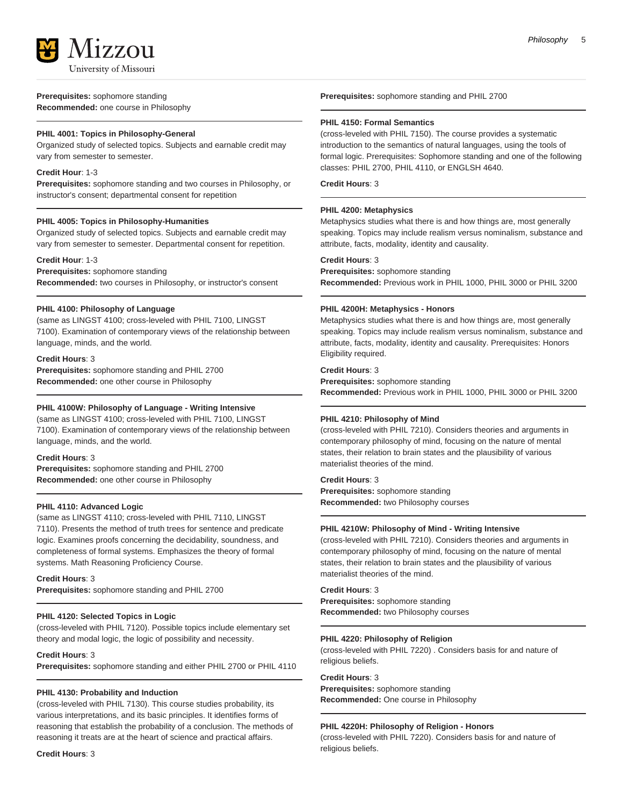

#### **Prerequisites:** sophomore standing **Recommended:** one course in Philosophy

## **PHIL 4001: Topics in Philosophy-General**

Organized study of selected topics. Subjects and earnable credit may vary from semester to semester.

### **Credit Hour**: 1-3

**Prerequisites:** sophomore standing and two courses in Philosophy, or instructor's consent; departmental consent for repetition

## **PHIL 4005: Topics in Philosophy-Humanities**

Organized study of selected topics. Subjects and earnable credit may vary from semester to semester. Departmental consent for repetition.

## **Credit Hour**: 1-3

**Prerequisites:** sophomore standing

**Recommended:** two courses in Philosophy, or instructor's consent

## **PHIL 4100: Philosophy of Language**

(same as LINGST 4100; cross-leveled with PHIL 7100, LINGST 7100). Examination of contemporary views of the relationship between language, minds, and the world.

#### **Credit Hours**: 3

**Prerequisites:** sophomore standing and PHIL 2700 **Recommended:** one other course in Philosophy

## **PHIL 4100W: Philosophy of Language - Writing Intensive**

(same as LINGST 4100; cross-leveled with PHIL 7100, LINGST 7100). Examination of contemporary views of the relationship between language, minds, and the world.

#### **Credit Hours**: 3

**Prerequisites:** sophomore standing and PHIL 2700 **Recommended:** one other course in Philosophy

## **PHIL 4110: Advanced Logic**

(same as LINGST 4110; cross-leveled with PHIL 7110, LINGST 7110). Presents the method of truth trees for sentence and predicate logic. Examines proofs concerning the decidability, soundness, and completeness of formal systems. Emphasizes the theory of formal systems. Math Reasoning Proficiency Course.

#### **Credit Hours**: 3

**Prerequisites:** sophomore standing and PHIL 2700

## **PHIL 4120: Selected Topics in Logic**

(cross-leveled with PHIL 7120). Possible topics include elementary set theory and modal logic, the logic of possibility and necessity.

## **Credit Hours**: 3

**Prerequisites:** sophomore standing and either PHIL 2700 or PHIL 4110

## **PHIL 4130: Probability and Induction**

(cross-leveled with PHIL 7130). This course studies probability, its various interpretations, and its basic principles. It identifies forms of reasoning that establish the probability of a conclusion. The methods of reasoning it treats are at the heart of science and practical affairs.

**Credit Hours**: 3

**Prerequisites:** sophomore standing and PHIL 2700

## **PHIL 4150: Formal Semantics**

(cross-leveled with PHIL 7150). The course provides a systematic introduction to the semantics of natural languages, using the tools of formal logic. Prerequisites: Sophomore standing and one of the following classes: PHIL 2700, PHIL 4110, or ENGLSH 4640.

#### **Credit Hours**: 3

## **PHIL 4200: Metaphysics**

Metaphysics studies what there is and how things are, most generally speaking. Topics may include realism versus nominalism, substance and attribute, facts, modality, identity and causality.

## **Credit Hours**: 3

**Prerequisites:** sophomore standing **Recommended:** Previous work in PHIL 1000, PHIL 3000 or PHIL 3200

## **PHIL 4200H: Metaphysics - Honors**

Metaphysics studies what there is and how things are, most generally speaking. Topics may include realism versus nominalism, substance and attribute, facts, modality, identity and causality. Prerequisites: Honors Eligibility required.

## **Credit Hours**: 3

**Prerequisites:** sophomore standing **Recommended:** Previous work in PHIL 1000, PHIL 3000 or PHIL 3200

## **PHIL 4210: Philosophy of Mind**

(cross-leveled with PHIL 7210). Considers theories and arguments in contemporary philosophy of mind, focusing on the nature of mental states, their relation to brain states and the plausibility of various materialist theories of the mind.

#### **Credit Hours**: 3

**Prerequisites:** sophomore standing **Recommended:** two Philosophy courses

## **PHIL 4210W: Philosophy of Mind - Writing Intensive**

(cross-leveled with PHIL 7210). Considers theories and arguments in contemporary philosophy of mind, focusing on the nature of mental states, their relation to brain states and the plausibility of various materialist theories of the mind.

## **Credit Hours**: 3

**Prerequisites:** sophomore standing **Recommended:** two Philosophy courses

#### **PHIL 4220: Philosophy of Religion**

(cross-leveled with PHIL 7220) . Considers basis for and nature of religious beliefs.

#### **Credit Hours**: 3

**Prerequisites:** sophomore standing **Recommended:** One course in Philosophy

## **PHIL 4220H: Philosophy of Religion - Honors**

(cross-leveled with PHIL 7220). Considers basis for and nature of religious beliefs.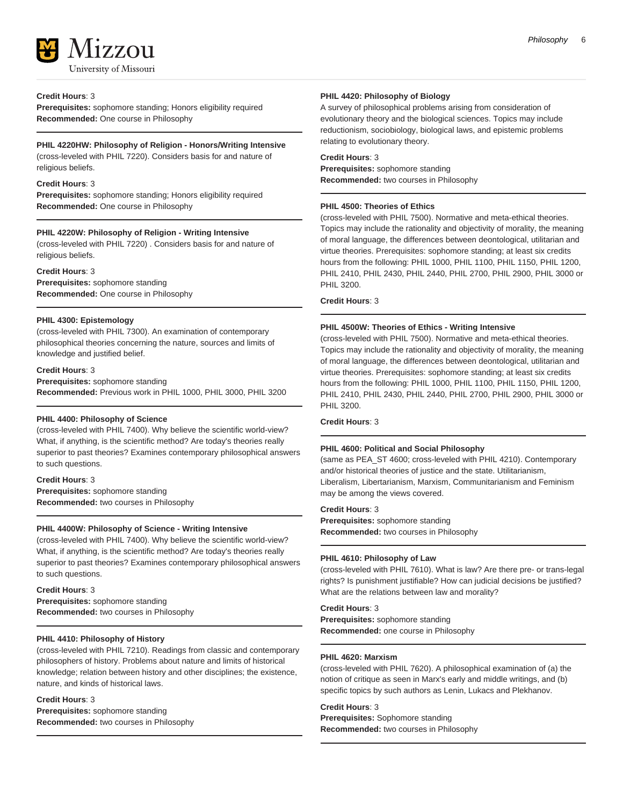

#### **Credit Hours**: 3

**Prerequisites:** sophomore standing; Honors eligibility required **Recommended:** One course in Philosophy

#### **PHIL 4220HW: Philosophy of Religion - Honors/Writing Intensive**

(cross-leveled with PHIL 7220). Considers basis for and nature of religious beliefs.

#### **Credit Hours**: 3

**Prerequisites:** sophomore standing; Honors eligibility required **Recommended:** One course in Philosophy

#### **PHIL 4220W: Philosophy of Religion - Writing Intensive**

(cross-leveled with PHIL 7220) . Considers basis for and nature of religious beliefs.

#### **Credit Hours**: 3

**Prerequisites:** sophomore standing **Recommended:** One course in Philosophy

#### **PHIL 4300: Epistemology**

(cross-leveled with PHIL 7300). An examination of contemporary philosophical theories concerning the nature, sources and limits of knowledge and justified belief.

#### **Credit Hours**: 3

**Prerequisites:** sophomore standing **Recommended:** Previous work in PHIL 1000, PHIL 3000, PHIL 3200

## **PHIL 4400: Philosophy of Science**

(cross-leveled with PHIL 7400). Why believe the scientific world-view? What, if anything, is the scientific method? Are today's theories really superior to past theories? Examines contemporary philosophical answers to such questions.

#### **Credit Hours**: 3

**Prerequisites:** sophomore standing **Recommended:** two courses in Philosophy

#### **PHIL 4400W: Philosophy of Science - Writing Intensive**

(cross-leveled with PHIL 7400). Why believe the scientific world-view? What, if anything, is the scientific method? Are today's theories really superior to past theories? Examines contemporary philosophical answers to such questions.

#### **Credit Hours**: 3

**Prerequisites:** sophomore standing **Recommended:** two courses in Philosophy

### **PHIL 4410: Philosophy of History**

(cross-leveled with PHIL 7210). Readings from classic and contemporary philosophers of history. Problems about nature and limits of historical knowledge; relation between history and other disciplines; the existence, nature, and kinds of historical laws.

#### **Credit Hours**: 3

**Prerequisites:** sophomore standing **Recommended:** two courses in Philosophy

#### **PHIL 4420: Philosophy of Biology**

A survey of philosophical problems arising from consideration of evolutionary theory and the biological sciences. Topics may include reductionism, sociobiology, biological laws, and epistemic problems relating to evolutionary theory.

### **Credit Hours**: 3 **Prerequisites:** sophomore standing **Recommended:** two courses in Philosophy

#### **PHIL 4500: Theories of Ethics**

(cross-leveled with PHIL 7500). Normative and meta-ethical theories. Topics may include the rationality and objectivity of morality, the meaning of moral language, the differences between deontological, utilitarian and virtue theories. Prerequisites: sophomore standing; at least six credits hours from the following: PHIL 1000, PHIL 1100, PHIL 1150, PHIL 1200, PHIL 2410, PHIL 2430, PHIL 2440, PHIL 2700, PHIL 2900, PHIL 3000 or PHIL 3200.

#### **Credit Hours**: 3

#### **PHIL 4500W: Theories of Ethics - Writing Intensive**

(cross-leveled with PHIL 7500). Normative and meta-ethical theories. Topics may include the rationality and objectivity of morality, the meaning of moral language, the differences between deontological, utilitarian and virtue theories. Prerequisites: sophomore standing; at least six credits hours from the following: PHIL 1000, PHIL 1100, PHIL 1150, PHIL 1200, PHIL 2410, PHIL 2430, PHIL 2440, PHIL 2700, PHIL 2900, PHIL 3000 or PHIL 3200.

#### **Credit Hours**: 3

#### **PHIL 4600: Political and Social Philosophy**

(same as PEA\_ST 4600; cross-leveled with PHIL 4210). Contemporary and/or historical theories of justice and the state. Utilitarianism, Liberalism, Libertarianism, Marxism, Communitarianism and Feminism may be among the views covered.

#### **Credit Hours**: 3

**Prerequisites:** sophomore standing **Recommended:** two courses in Philosophy

#### **PHIL 4610: Philosophy of Law**

(cross-leveled with PHIL 7610). What is law? Are there pre- or trans-legal rights? Is punishment justifiable? How can judicial decisions be justified? What are the relations between law and morality?

#### **Credit Hours**: 3

**Prerequisites:** sophomore standing **Recommended:** one course in Philosophy

#### **PHIL 4620: Marxism**

(cross-leveled with PHIL 7620). A philosophical examination of (a) the notion of critique as seen in Marx's early and middle writings, and (b) specific topics by such authors as Lenin, Lukacs and Plekhanov.

## **Credit Hours**: 3

**Prerequisites:** Sophomore standing **Recommended:** two courses in Philosophy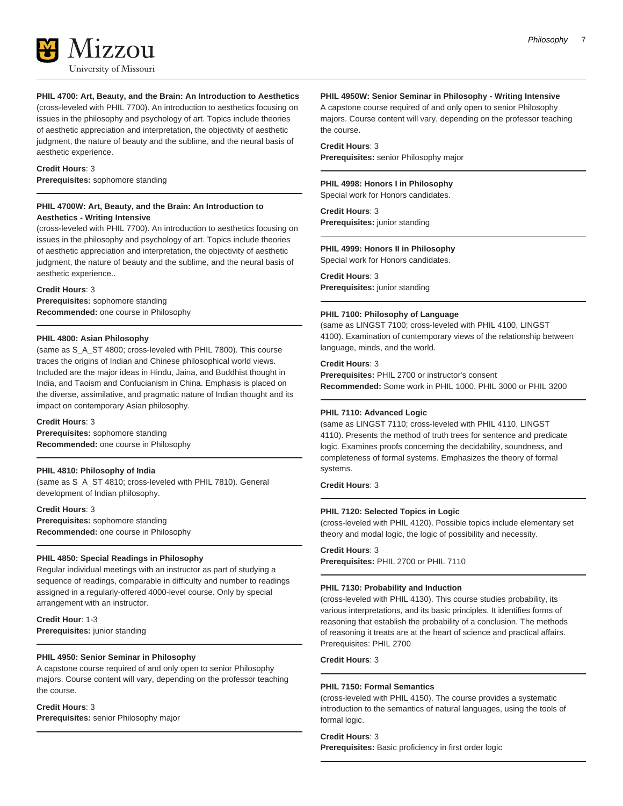

#### **PHIL 4700: Art, Beauty, and the Brain: An Introduction to Aesthetics**

(cross-leveled with PHIL 7700). An introduction to aesthetics focusing on issues in the philosophy and psychology of art. Topics include theories of aesthetic appreciation and interpretation, the objectivity of aesthetic judgment, the nature of beauty and the sublime, and the neural basis of aesthetic experience.

#### **Credit Hours**: 3

**Prerequisites:** sophomore standing

#### **PHIL 4700W: Art, Beauty, and the Brain: An Introduction to Aesthetics - Writing Intensive**

(cross-leveled with PHIL 7700). An introduction to aesthetics focusing on issues in the philosophy and psychology of art. Topics include theories of aesthetic appreciation and interpretation, the objectivity of aesthetic judgment, the nature of beauty and the sublime, and the neural basis of aesthetic experience..

#### **Credit Hours**: 3

**Prerequisites:** sophomore standing **Recommended:** one course in Philosophy

#### **PHIL 4800: Asian Philosophy**

(same as S\_A\_ST 4800; cross-leveled with PHIL 7800). This course traces the origins of Indian and Chinese philosophical world views. Included are the major ideas in Hindu, Jaina, and Buddhist thought in India, and Taoism and Confucianism in China. Emphasis is placed on the diverse, assimilative, and pragmatic nature of Indian thought and its impact on contemporary Asian philosophy.

#### **Credit Hours**: 3

**Prerequisites:** sophomore standing **Recommended:** one course in Philosophy

#### **PHIL 4810: Philosophy of India**

(same as S\_A\_ST 4810; cross-leveled with PHIL 7810). General development of Indian philosophy.

**Credit Hours**: 3 **Prerequisites:** sophomore standing **Recommended:** one course in Philosophy

#### **PHIL 4850: Special Readings in Philosophy**

Regular individual meetings with an instructor as part of studying a sequence of readings, comparable in difficulty and number to readings assigned in a regularly-offered 4000-level course. Only by special arrangement with an instructor.

**Credit Hour**: 1-3 **Prerequisites:** junior standing

#### **PHIL 4950: Senior Seminar in Philosophy**

A capstone course required of and only open to senior Philosophy majors. Course content will vary, depending on the professor teaching the course.

#### **Credit Hours**: 3

**Prerequisites:** senior Philosophy major

#### **PHIL 4950W: Senior Seminar in Philosophy - Writing Intensive**

A capstone course required of and only open to senior Philosophy majors. Course content will vary, depending on the professor teaching the course.

#### **Credit Hours**: 3

**Prerequisites:** senior Philosophy major

#### **PHIL 4998: Honors I in Philosophy**

Special work for Honors candidates.

## **Credit Hours**: 3

**Prerequisites:** junior standing

#### **PHIL 4999: Honors II in Philosophy**

Special work for Honors candidates.

## **Credit Hours**: 3

**Prerequisites:** junior standing

#### **PHIL 7100: Philosophy of Language**

(same as LINGST 7100; cross-leveled with PHIL 4100, LINGST 4100). Examination of contemporary views of the relationship between language, minds, and the world.

#### **Credit Hours**: 3

**Prerequisites:** PHIL 2700 or instructor's consent **Recommended:** Some work in PHIL 1000, PHIL 3000 or PHIL 3200

#### **PHIL 7110: Advanced Logic**

(same as LINGST 7110; cross-leveled with PHIL 4110, LINGST 4110). Presents the method of truth trees for sentence and predicate logic. Examines proofs concerning the decidability, soundness, and completeness of formal systems. Emphasizes the theory of formal systems.

#### **Credit Hours**: 3

#### **PHIL 7120: Selected Topics in Logic**

(cross-leveled with PHIL 4120). Possible topics include elementary set theory and modal logic, the logic of possibility and necessity.

## **Credit Hours**: 3

**Prerequisites:** PHIL 2700 or PHIL 7110

#### **PHIL 7130: Probability and Induction**

(cross-leveled with PHIL 4130). This course studies probability, its various interpretations, and its basic principles. It identifies forms of reasoning that establish the probability of a conclusion. The methods of reasoning it treats are at the heart of science and practical affairs. Prerequisites: PHIL 2700

#### **Credit Hours**: 3

#### **PHIL 7150: Formal Semantics**

(cross-leveled with PHIL 4150). The course provides a systematic introduction to the semantics of natural languages, using the tools of formal logic.

#### **Credit Hours**: 3

**Prerequisites:** Basic proficiency in first order logic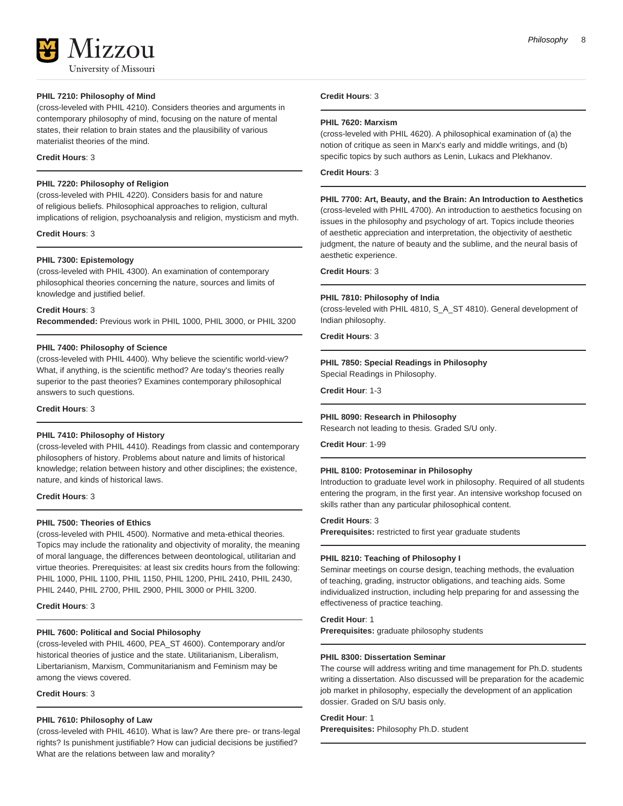17.7.011 University of Missouri

#### **PHIL 7210: Philosophy of Mind**

(cross-leveled with PHIL 4210). Considers theories and arguments in contemporary philosophy of mind, focusing on the nature of mental states, their relation to brain states and the plausibility of various materialist theories of the mind.

#### **Credit Hours**: 3

## **PHIL 7220: Philosophy of Religion**

(cross-leveled with PHIL 4220). Considers basis for and nature of religious beliefs. Philosophical approaches to religion, cultural implications of religion, psychoanalysis and religion, mysticism and myth.

#### **Credit Hours**: 3

#### **PHIL 7300: Epistemology**

(cross-leveled with PHIL 4300). An examination of contemporary philosophical theories concerning the nature, sources and limits of knowledge and justified belief.

**Credit Hours**: 3

**Recommended:** Previous work in PHIL 1000, PHIL 3000, or PHIL 3200

#### **PHIL 7400: Philosophy of Science**

(cross-leveled with PHIL 4400). Why believe the scientific world-view? What, if anything, is the scientific method? Are today's theories really superior to the past theories? Examines contemporary philosophical answers to such questions.

**Credit Hours**: 3

#### **PHIL 7410: Philosophy of History**

(cross-leveled with PHIL 4410). Readings from classic and contemporary philosophers of history. Problems about nature and limits of historical knowledge; relation between history and other disciplines; the existence, nature, and kinds of historical laws.

**Credit Hours**: 3

#### **PHIL 7500: Theories of Ethics**

(cross-leveled with PHIL 4500). Normative and meta-ethical theories. Topics may include the rationality and objectivity of morality, the meaning of moral language, the differences between deontological, utilitarian and virtue theories. Prerequisites: at least six credits hours from the following: PHIL 1000, PHIL 1100, PHIL 1150, PHIL 1200, PHIL 2410, PHIL 2430, PHIL 2440, PHIL 2700, PHIL 2900, PHIL 3000 or PHIL 3200.

#### **Credit Hours**: 3

#### **PHIL 7600: Political and Social Philosophy**

(cross-leveled with PHIL 4600, PEA\_ST 4600). Contemporary and/or historical theories of justice and the state. Utilitarianism, Liberalism, Libertarianism, Marxism, Communitarianism and Feminism may be among the views covered.

**Credit Hours**: 3

#### **PHIL 7610: Philosophy of Law**

(cross-leveled with PHIL 4610). What is law? Are there pre- or trans-legal rights? Is punishment justifiable? How can judicial decisions be justified? What are the relations between law and morality?

#### **Credit Hours**: 3

#### **PHIL 7620: Marxism**

(cross-leveled with PHIL 4620). A philosophical examination of (a) the notion of critique as seen in Marx's early and middle writings, and (b) specific topics by such authors as Lenin, Lukacs and Plekhanov.

## **Credit Hours**: 3

## **PHIL 7700: Art, Beauty, and the Brain: An Introduction to Aesthetics**

(cross-leveled with PHIL 4700). An introduction to aesthetics focusing on issues in the philosophy and psychology of art. Topics include theories of aesthetic appreciation and interpretation, the objectivity of aesthetic judgment, the nature of beauty and the sublime, and the neural basis of aesthetic experience.

#### **Credit Hours**: 3

#### **PHIL 7810: Philosophy of India**

(cross-leveled with PHIL 4810, S\_A\_ST 4810). General development of Indian philosophy.

#### **Credit Hours**: 3

#### **PHIL 7850: Special Readings in Philosophy**

Special Readings in Philosophy.

**Credit Hour**: 1-3

#### **PHIL 8090: Research in Philosophy**

Research not leading to thesis. Graded S/U only.

**Credit Hour**: 1-99

#### **PHIL 8100: Protoseminar in Philosophy**

Introduction to graduate level work in philosophy. Required of all students entering the program, in the first year. An intensive workshop focused on skills rather than any particular philosophical content.

## **Credit Hours**: 3

**Prerequisites:** restricted to first year graduate students

#### **PHIL 8210: Teaching of Philosophy I**

Seminar meetings on course design, teaching methods, the evaluation of teaching, grading, instructor obligations, and teaching aids. Some individualized instruction, including help preparing for and assessing the effectiveness of practice teaching.

## **Credit Hour**: 1

**Prerequisites:** graduate philosophy students

#### **PHIL 8300: Dissertation Seminar**

The course will address writing and time management for Ph.D. students writing a dissertation. Also discussed will be preparation for the academic job market in philosophy, especially the development of an application dossier. Graded on S/U basis only.

#### **Credit Hour**: 1

**Prerequisites:** Philosophy Ph.D. student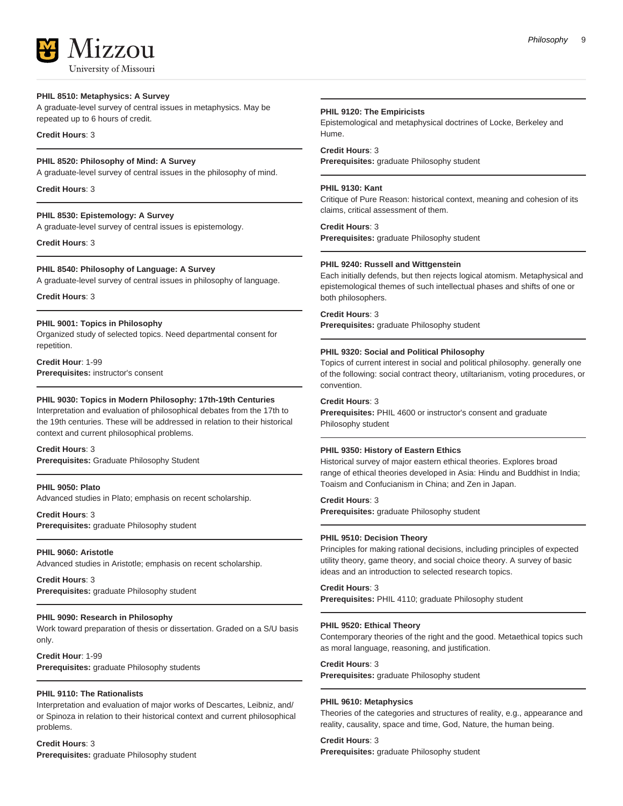University of Missouri

17.7.011

### **PHIL 8510: Metaphysics: A Survey**

A graduate-level survey of central issues in metaphysics. May be repeated up to 6 hours of credit.

### **Credit Hours**: 3

#### **PHIL 8520: Philosophy of Mind: A Survey**

A graduate-level survey of central issues in the philosophy of mind.

**Credit Hours**: 3

## **PHIL 8530: Epistemology: A Survey**

A graduate-level survey of central issues is epistemology.

**Credit Hours**: 3

## **PHIL 8540: Philosophy of Language: A Survey**

A graduate-level survey of central issues in philosophy of language.

## **Credit Hours**: 3

#### **PHIL 9001: Topics in Philosophy**

Organized study of selected topics. Need departmental consent for repetition.

**Credit Hour**: 1-99 **Prerequisites:** instructor's consent

### **PHIL 9030: Topics in Modern Philosophy: 17th-19th Centuries**

Interpretation and evaluation of philosophical debates from the 17th to the 19th centuries. These will be addressed in relation to their historical context and current philosophical problems.

**Credit Hours**: 3 **Prerequisites:** Graduate Philosophy Student

## **PHIL 9050: Plato**

Advanced studies in Plato; emphasis on recent scholarship.

**Credit Hours**: 3 **Prerequisites:** graduate Philosophy student

#### **PHIL 9060: Aristotle**

Advanced studies in Aristotle; emphasis on recent scholarship.

**Credit Hours**: 3 **Prerequisites:** graduate Philosophy student

#### **PHIL 9090: Research in Philosophy**

Work toward preparation of thesis or dissertation. Graded on a S/U basis only.

**Credit Hour**: 1-99 **Prerequisites:** graduate Philosophy students

## **PHIL 9110: The Rationalists**

Interpretation and evaluation of major works of Descartes, Leibniz, and/ or Spinoza in relation to their historical context and current philosophical problems.

**Credit Hours**: 3 **Prerequisites:** graduate Philosophy student

#### **PHIL 9120: The Empiricists**

Epistemological and metaphysical doctrines of Locke, Berkeley and Hume.

## **Credit Hours**: 3

**Prerequisites:** graduate Philosophy student

#### **PHIL 9130: Kant**

Critique of Pure Reason: historical context, meaning and cohesion of its claims, critical assessment of them.

#### **Credit Hours**: 3

**Prerequisites:** graduate Philosophy student

#### **PHIL 9240: Russell and Wittgenstein**

Each initially defends, but then rejects logical atomism. Metaphysical and epistemological themes of such intellectual phases and shifts of one or both philosophers.

### **Credit Hours**: 3

**Prerequisites:** graduate Philosophy student

### **PHIL 9320: Social and Political Philosophy**

Topics of current interest in social and political philosophy. generally one of the following: social contract theory, utiltarianism, voting procedures, or convention.

#### **Credit Hours**: 3

**Prerequisites:** PHIL 4600 or instructor's consent and graduate Philosophy student

#### **PHIL 9350: History of Eastern Ethics**

Historical survey of major eastern ethical theories. Explores broad range of ethical theories developed in Asia: Hindu and Buddhist in India; Toaism and Confucianism in China; and Zen in Japan.

#### **Credit Hours**: 3

**Prerequisites:** graduate Philosophy student

#### **PHIL 9510: Decision Theory**

Principles for making rational decisions, including principles of expected utility theory, game theory, and social choice theory. A survey of basic ideas and an introduction to selected research topics.

### **Credit Hours**: 3

**Prerequisites:** PHIL 4110; graduate Philosophy student

#### **PHIL 9520: Ethical Theory**

Contemporary theories of the right and the good. Metaethical topics such as moral language, reasoning, and justification.

#### **Credit Hours**: 3

**Prerequisites:** graduate Philosophy student

#### **PHIL 9610: Metaphysics**

Theories of the categories and structures of reality, e.g., appearance and reality, causality, space and time, God, Nature, the human being.

#### **Credit Hours**: 3

**Prerequisites:** graduate Philosophy student